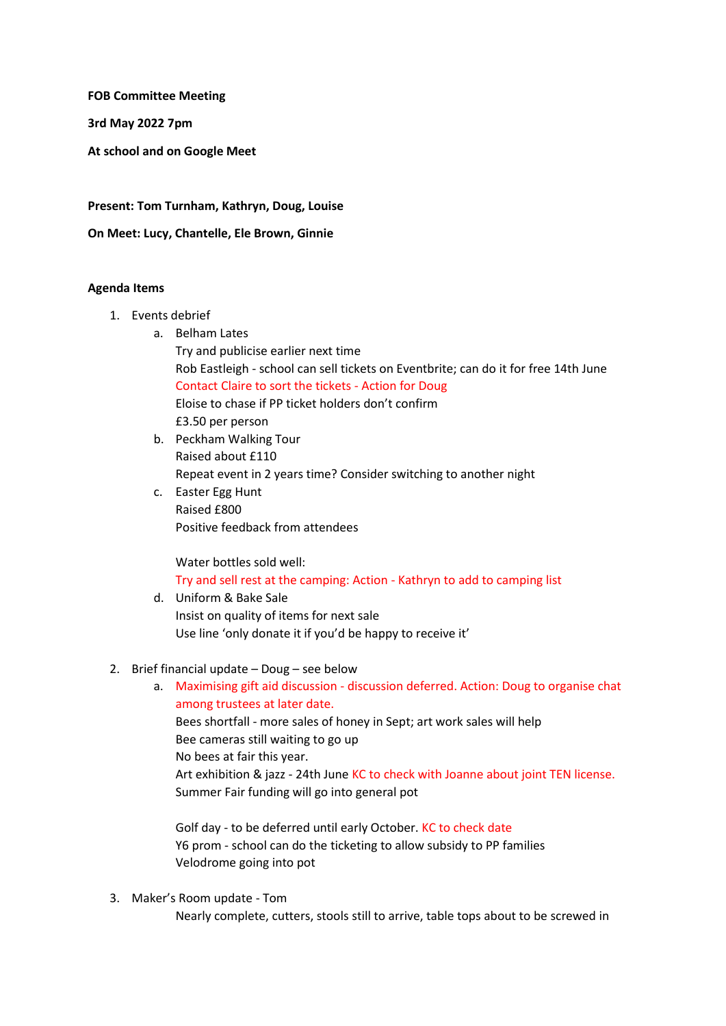**FOB Committee Meeting**

**3rd May 2022 7pm**

**At school and on Google Meet**

**Present: Tom Turnham, Kathryn, Doug, Louise**

**On Meet: Lucy, Chantelle, Ele Brown, Ginnie**

## **Agenda Items**

- 1. Events debrief
	- a. Belham Lates Try and publicise earlier next time

Rob Eastleigh - school can sell tickets on Eventbrite; can do it for free 14th June Contact Claire to sort the tickets - Action for Doug

Eloise to chase if PP ticket holders don't confirm

£3.50 per person

- b. Peckham Walking Tour Raised about £110 Repeat event in 2 years time? Consider switching to another night
- c. Easter Egg Hunt Raised £800 Positive feedback from attendees

Water bottles sold well: Try and sell rest at the camping: Action - Kathryn to add to camping list

- d. Uniform & Bake Sale Insist on quality of items for next sale Use line 'only donate it if you'd be happy to receive it'
- 2. Brief financial update Doug see below
	- a. Maximising gift aid discussion discussion deferred. Action: Doug to organise chat among trustees at later date. Bees shortfall - more sales of honey in Sept; art work sales will help Bee cameras still waiting to go up No bees at fair this year. Art exhibition & jazz - 24th June KC to check with Joanne about joint TEN license. Summer Fair funding will go into general pot

Golf day - to be deferred until early October. KC to check date Y6 prom - school can do the ticketing to allow subsidy to PP families Velodrome going into pot

3. Maker's Room update - Tom Nearly complete, cutters, stools still to arrive, table tops about to be screwed in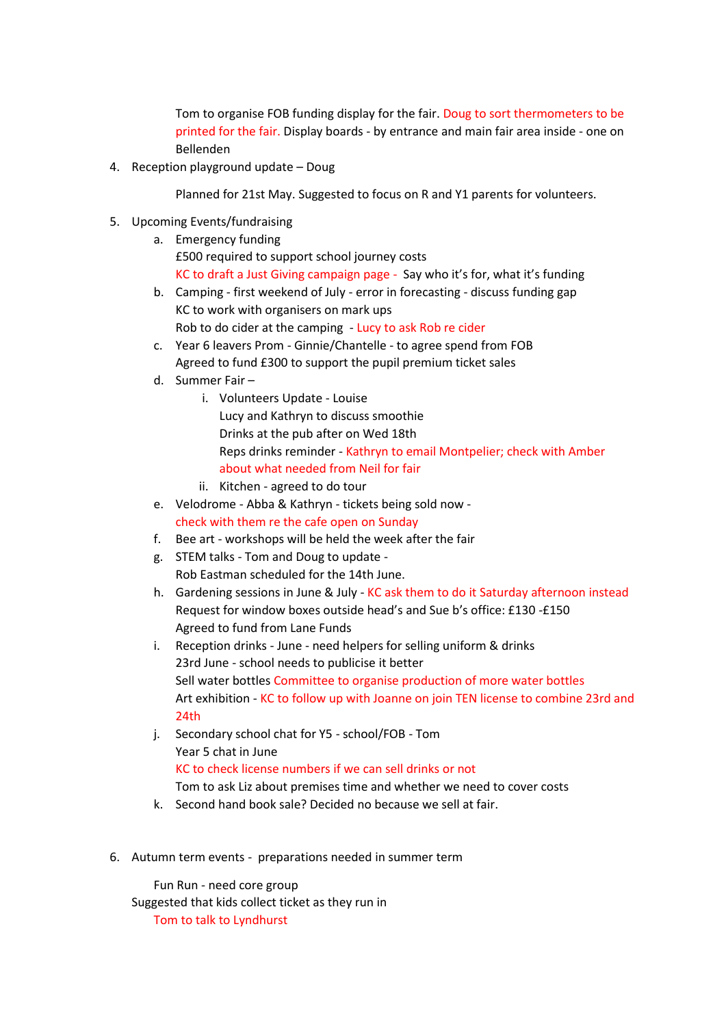Tom to organise FOB funding display for the fair. Doug to sort thermometers to be printed for the fair. Display boards - by entrance and main fair area inside - one on Bellenden

4. Reception playground update – Doug

Planned for 21st May. Suggested to focus on R and Y1 parents for volunteers.

- 5. Upcoming Events/fundraising
	- a. Emergency funding £500 required to support school journey costs KC to draft a Just Giving campaign page - Say who it's for, what it's funding
	- b. Camping first weekend of July error in forecasting discuss funding gap KC to work with organisers on mark ups Rob to do cider at the camping - Lucy to ask Rob re cider
	- c. Year 6 leavers Prom Ginnie/Chantelle to agree spend from FOB Agreed to fund £300 to support the pupil premium ticket sales
	- d. Summer Fair
		- i. Volunteers Update Louise Lucy and Kathryn to discuss smoothie Drinks at the pub after on Wed 18th Reps drinks reminder - Kathryn to email Montpelier; check with Amber about what needed from Neil for fair
		- ii. Kitchen agreed to do tour
	- e. Velodrome Abba & Kathryn tickets being sold now check with them re the cafe open on Sunday
	- f. Bee art workshops will be held the week after the fair
	- g. STEM talks Tom and Doug to update Rob Eastman scheduled for the 14th June.
	- h. Gardening sessions in June & July KC ask them to do it Saturday afternoon instead Request for window boxes outside head's and Sue b's office: £130 -£150 Agreed to fund from Lane Funds
	- i. Reception drinks June need helpers for selling uniform & drinks 23rd June - school needs to publicise it better Sell water bottles Committee to organise production of more water bottles Art exhibition - KC to follow up with Joanne on join TEN license to combine 23rd and 24th
	- j. Secondary school chat for Y5 school/FOB Tom Year 5 chat in June KC to check license numbers if we can sell drinks or not Tom to ask Liz about premises time and whether we need to cover costs
	- k. Second hand book sale? Decided no because we sell at fair.
- 6. Autumn term events preparations needed in summer term

Fun Run - need core group Suggested that kids collect ticket as they run in Tom to talk to Lyndhurst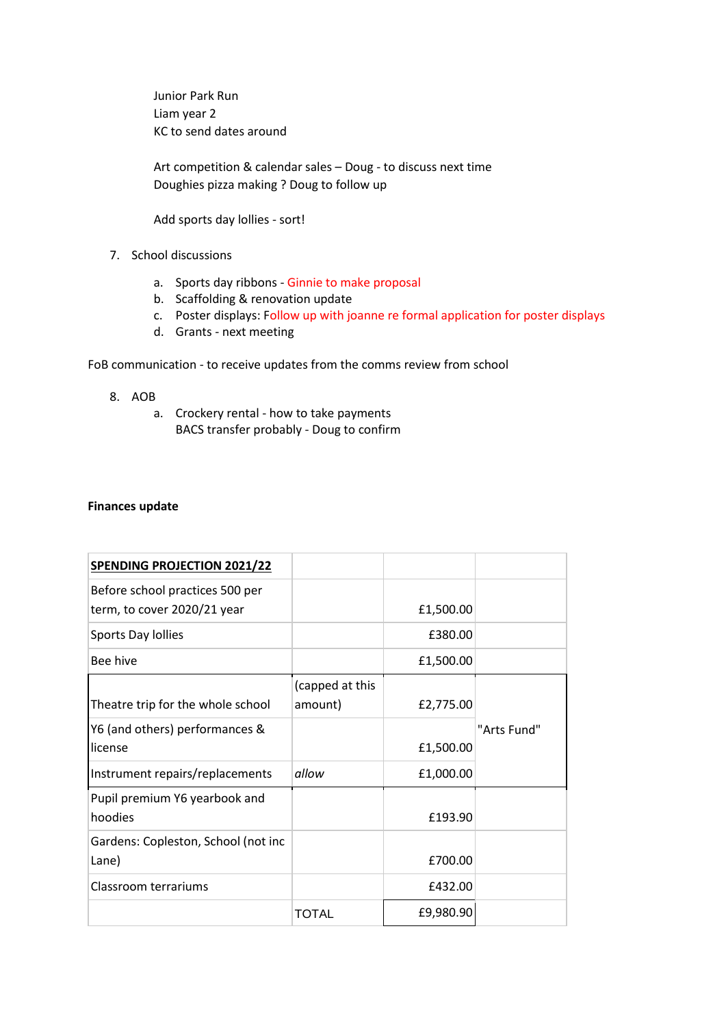Junior Park Run Liam year 2 KC to send dates around

Art competition & calendar sales – Doug - to discuss next time Doughies pizza making ? Doug to follow up

Add sports day lollies - sort!

- 7. School discussions
	- a. Sports day ribbons Ginnie to make proposal
	- b. Scaffolding & renovation update
	- c. Poster displays: Follow up with joanne re formal application for poster displays
	- d. Grants next meeting

FoB communication - to receive updates from the comms review from school

- 8. AOB
	- a. Crockery rental how to take payments BACS transfer probably - Doug to confirm

## **Finances update**

| <b>SPENDING PROJECTION 2021/22</b>                             |                            |           |             |
|----------------------------------------------------------------|----------------------------|-----------|-------------|
| Before school practices 500 per<br>term, to cover 2020/21 year |                            | £1,500.00 |             |
| Sports Day Iollies                                             |                            | £380.00   |             |
| Bee hive                                                       |                            | £1,500.00 |             |
| Theatre trip for the whole school                              | (capped at this<br>amount) | £2,775.00 |             |
| Y6 (and others) performances &<br>license                      |                            | £1,500.00 | "Arts Fund" |
| Instrument repairs/replacements                                | allow                      | £1,000.00 |             |
| Pupil premium Y6 yearbook and<br>hoodies                       |                            | £193.90   |             |
| Gardens: Copleston, School (not inc<br>Lane)                   |                            | £700.00   |             |
| Classroom terrariums                                           |                            | £432.00   |             |
|                                                                | <b>TOTAL</b>               | £9,980.90 |             |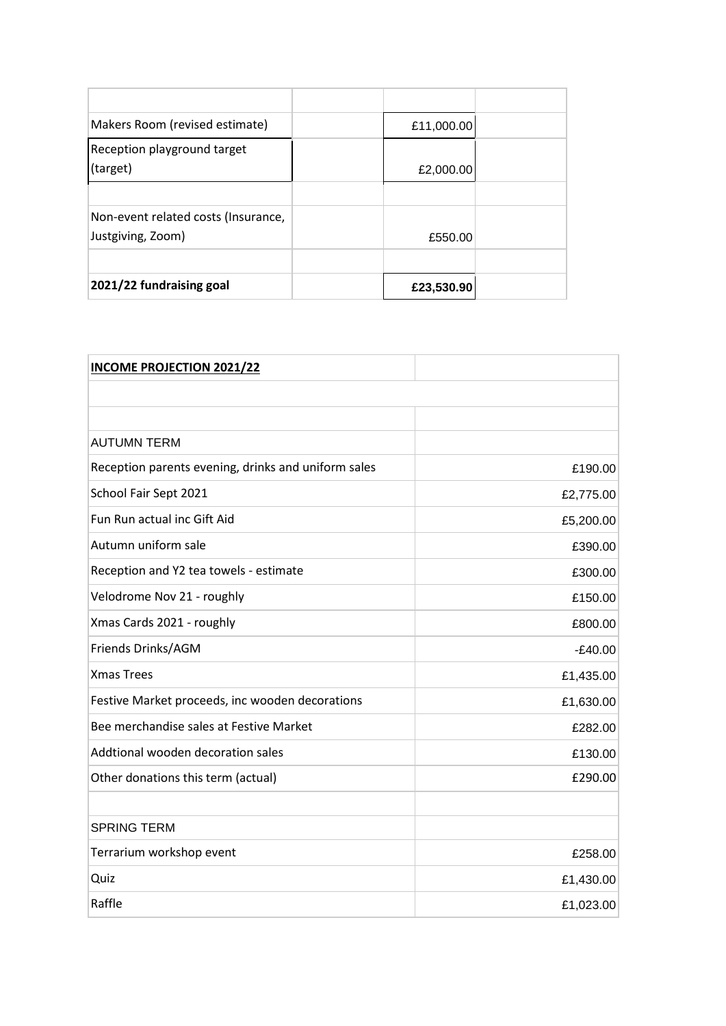| 2021/22 fundraising goal            | £23,530.90 |  |
|-------------------------------------|------------|--|
|                                     |            |  |
| Justgiving, Zoom)                   | £550.00    |  |
| Non-event related costs (Insurance, |            |  |
|                                     |            |  |
| (target)                            | £2,000.00  |  |
| Reception playground target         |            |  |
| Makers Room (revised estimate)      | £11,000.00 |  |
|                                     |            |  |
|                                     |            |  |

| <b>INCOME PROJECTION 2021/22</b>                    |           |
|-----------------------------------------------------|-----------|
|                                                     |           |
|                                                     |           |
| <b>AUTUMN TERM</b>                                  |           |
| Reception parents evening, drinks and uniform sales | £190.00   |
| School Fair Sept 2021                               | £2,775.00 |
| Fun Run actual inc Gift Aid                         | £5,200.00 |
| Autumn uniform sale                                 | £390.00   |
| Reception and Y2 tea towels - estimate              | £300.00   |
| Velodrome Nov 21 - roughly                          | £150.00   |
| Xmas Cards 2021 - roughly                           | £800.00   |
| Friends Drinks/AGM                                  | $-E40.00$ |
| <b>Xmas Trees</b>                                   | £1,435.00 |
| Festive Market proceeds, inc wooden decorations     | £1,630.00 |
| Bee merchandise sales at Festive Market             | £282.00   |
| Addtional wooden decoration sales                   | £130.00   |
| Other donations this term (actual)                  | £290.00   |
|                                                     |           |
| <b>SPRING TERM</b>                                  |           |
| Terrarium workshop event                            | £258.00   |
| Quiz                                                | £1,430.00 |
| Raffle                                              | £1,023.00 |